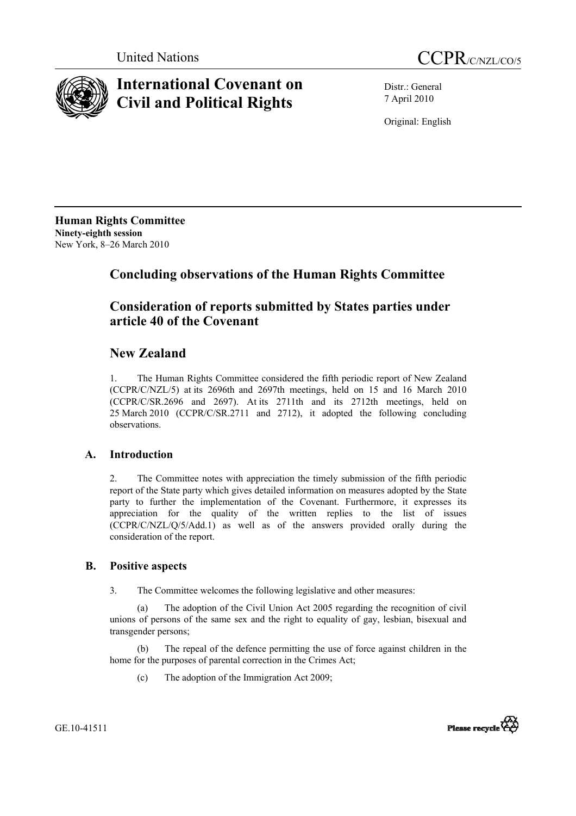



# **International Covenant on Civil and Political Rights**

Distr.: General 7 April 2010

Original: English

**Human Rights Committee Ninety-eighth session**  New York, 8–26 March 2010

# **Concluding observations of the Human Rights Committee**

### **Consideration of reports submitted by States parties under article 40 of the Covenant**

## **New Zealand**

1. The Human Rights Committee considered the fifth periodic report of New Zealand (CCPR/C/NZL/5) at its 2696th and 2697th meetings, held on 15 and 16 March 2010 (CCPR/C/SR.2696 and 2697). At its 2711th and its 2712th meetings, held on 25 March 2010 (CCPR/C/SR.2711 and 2712), it adopted the following concluding observations.

### **A. Introduction**

2. The Committee notes with appreciation the timely submission of the fifth periodic report of the State party which gives detailed information on measures adopted by the State party to further the implementation of the Covenant. Furthermore, it expresses its appreciation for the quality of the written replies to the list of issues (CCPR/C/NZL/Q/5/Add.1) as well as of the answers provided orally during the consideration of the report.

### **B. Positive aspects**

3. The Committee welcomes the following legislative and other measures:

(a) The adoption of the Civil Union Act 2005 regarding the recognition of civil unions of persons of the same sex and the right to equality of gay, lesbian, bisexual and transgender persons;

(b) The repeal of the defence permitting the use of force against children in the home for the purposes of parental correction in the Crimes Act;

(c) The adoption of the Immigration Act 2009;



GE.10-41511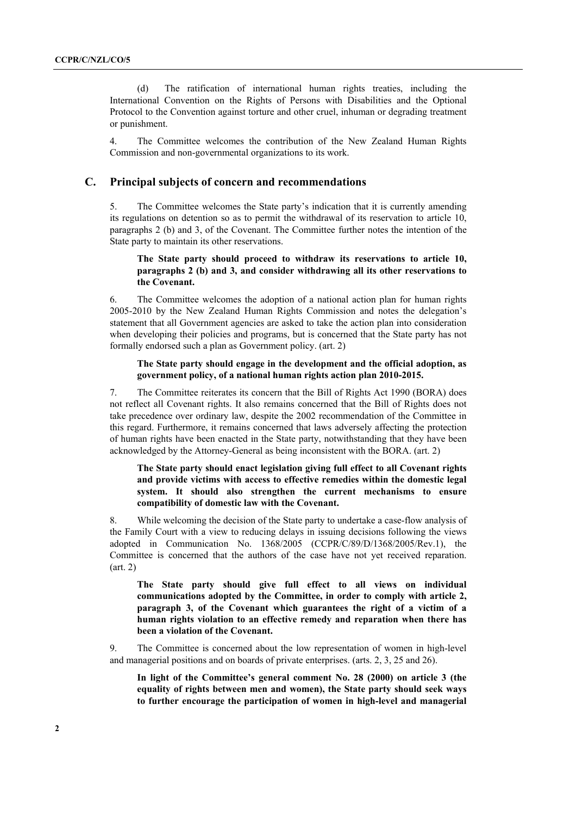(d) The ratification of international human rights treaties, including the International Convention on the Rights of Persons with Disabilities and the Optional Protocol to the Convention against torture and other cruel, inhuman or degrading treatment or punishment.

4. The Committee welcomes the contribution of the New Zealand Human Rights Commission and non-governmental organizations to its work.

#### **C. Principal subjects of concern and recommendations**

5. The Committee welcomes the State party's indication that it is currently amending its regulations on detention so as to permit the withdrawal of its reservation to article 10, paragraphs 2 (b) and 3, of the Covenant. The Committee further notes the intention of the State party to maintain its other reservations.

#### **The State party should proceed to withdraw its reservations to article 10, paragraphs 2 (b) and 3, and consider withdrawing all its other reservations to the Covenant.**

6. The Committee welcomes the adoption of a national action plan for human rights 2005-2010 by the New Zealand Human Rights Commission and notes the delegation's statement that all Government agencies are asked to take the action plan into consideration when developing their policies and programs, but is concerned that the State party has not formally endorsed such a plan as Government policy. (art. 2)

#### **The State party should engage in the development and the official adoption, as government policy, of a national human rights action plan 2010-2015.**

7. The Committee reiterates its concern that the Bill of Rights Act 1990 (BORA) does not reflect all Covenant rights. It also remains concerned that the Bill of Rights does not take precedence over ordinary law, despite the 2002 recommendation of the Committee in this regard. Furthermore, it remains concerned that laws adversely affecting the protection of human rights have been enacted in the State party, notwithstanding that they have been acknowledged by the Attorney-General as being inconsistent with the BORA. (art. 2)

#### **The State party should enact legislation giving full effect to all Covenant rights and provide victims with access to effective remedies within the domestic legal system. It should also strengthen the current mechanisms to ensure compatibility of domestic law with the Covenant.**

8. While welcoming the decision of the State party to undertake a case-flow analysis of the Family Court with a view to reducing delays in issuing decisions following the views adopted in Communication No. 1368/2005 (CCPR/C/89/D/1368/2005/Rev.1), the Committee is concerned that the authors of the case have not yet received reparation. (art. 2)

**The State party should give full effect to all views on individual communications adopted by the Committee, in order to comply with article 2, paragraph 3, of the Covenant which guarantees the right of a victim of a human rights violation to an effective remedy and reparation when there has been a violation of the Covenant.** 

9. The Committee is concerned about the low representation of women in high-level and managerial positions and on boards of private enterprises. (arts. 2, 3, 25 and 26).

**In light of the Committee's general comment No. 28 (2000) on article 3 (the equality of rights between men and women), the State party should seek ways to further encourage the participation of women in high-level and managerial**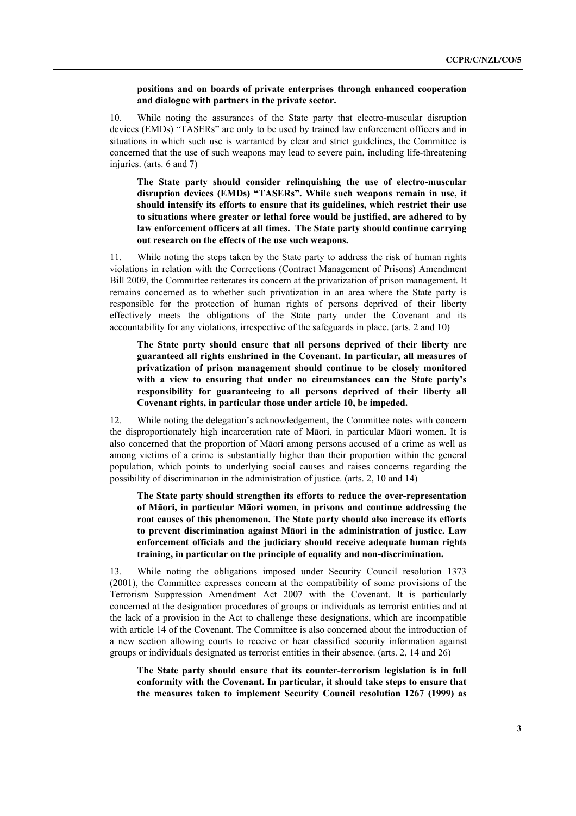#### **positions and on boards of private enterprises through enhanced cooperation and dialogue with partners in the private sector.**

10. While noting the assurances of the State party that electro-muscular disruption devices (EMDs) "TASERs" are only to be used by trained law enforcement officers and in situations in which such use is warranted by clear and strict guidelines, the Committee is concerned that the use of such weapons may lead to severe pain, including life-threatening injuries. (arts. 6 and 7)

**The State party should consider relinquishing the use of electro-muscular disruption devices (EMDs) "TASERs". While such weapons remain in use, it should intensify its efforts to ensure that its guidelines, which restrict their use to situations where greater or lethal force would be justified, are adhered to by law enforcement officers at all times. The State party should continue carrying out research on the effects of the use such weapons.** 

11. While noting the steps taken by the State party to address the risk of human rights violations in relation with the Corrections (Contract Management of Prisons) Amendment Bill 2009, the Committee reiterates its concern at the privatization of prison management. It remains concerned as to whether such privatization in an area where the State party is responsible for the protection of human rights of persons deprived of their liberty effectively meets the obligations of the State party under the Covenant and its accountability for any violations, irrespective of the safeguards in place. (arts. 2 and 10)

**The State party should ensure that all persons deprived of their liberty are guaranteed all rights enshrined in the Covenant. In particular, all measures of privatization of prison management should continue to be closely monitored with a view to ensuring that under no circumstances can the State party's responsibility for guaranteeing to all persons deprived of their liberty all Covenant rights, in particular those under article 10, be impeded.** 

12. While noting the delegation's acknowledgement, the Committee notes with concern the disproportionately high incarceration rate of Māori, in particular Māori women. It is also concerned that the proportion of Māori among persons accused of a crime as well as among victims of a crime is substantially higher than their proportion within the general population, which points to underlying social causes and raises concerns regarding the possibility of discrimination in the administration of justice. (arts. 2, 10 and 14)

**The State party should strengthen its efforts to reduce the over-representation of Māori, in particular Māori women, in prisons and continue addressing the root causes of this phenomenon. The State party should also increase its efforts to prevent discrimination against Māori in the administration of justice. Law enforcement officials and the judiciary should receive adequate human rights training, in particular on the principle of equality and non-discrimination.** 

13. While noting the obligations imposed under Security Council resolution 1373 (2001), the Committee expresses concern at the compatibility of some provisions of the Terrorism Suppression Amendment Act 2007 with the Covenant. It is particularly concerned at the designation procedures of groups or individuals as terrorist entities and at the lack of a provision in the Act to challenge these designations, which are incompatible with article 14 of the Covenant. The Committee is also concerned about the introduction of a new section allowing courts to receive or hear classified security information against groups or individuals designated as terrorist entities in their absence. (arts. 2, 14 and 26)

**The State party should ensure that its counter-terrorism legislation is in full conformity with the Covenant. In particular, it should take steps to ensure that the measures taken to implement Security Council resolution 1267 (1999) as**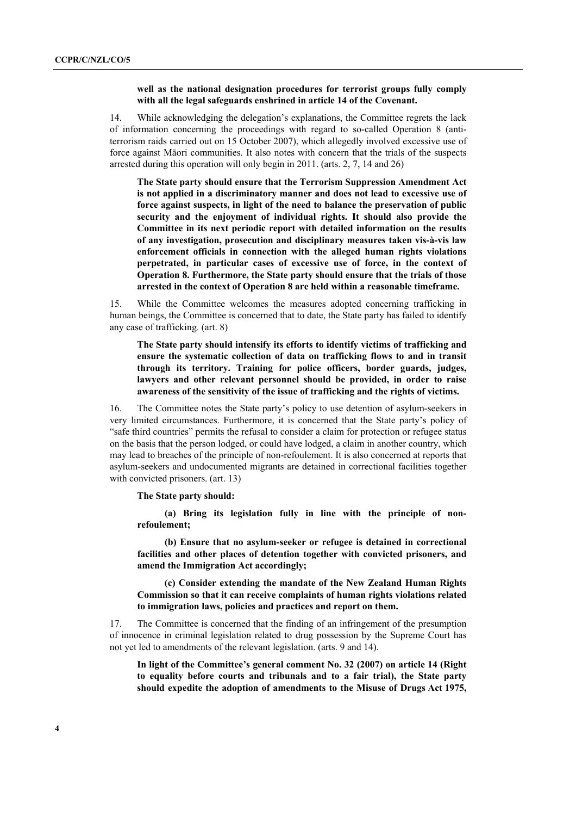#### **well as the national designation procedures for terrorist groups fully comply with all the legal safeguards enshrined in article 14 of the Covenant.**

14. While acknowledging the delegation's explanations, the Committee regrets the lack of information concerning the proceedings with regard to so-called Operation 8 (antiterrorism raids carried out on 15 October 2007), which allegedly involved excessive use of force against Māori communities. It also notes with concern that the trials of the suspects arrested during this operation will only begin in 2011. (arts. 2, 7, 14 and 26)

**The State party should ensure that the Terrorism Suppression Amendment Act is not applied in a discriminatory manner and does not lead to excessive use of force against suspects, in light of the need to balance the preservation of public security and the enjoyment of individual rights. It should also provide the Committee in its next periodic report with detailed information on the results of any investigation, prosecution and disciplinary measures taken vis-à-vis law enforcement officials in connection with the alleged human rights violations perpetrated, in particular cases of excessive use of force, in the context of Operation 8. Furthermore, the State party should ensure that the trials of those arrested in the context of Operation 8 are held within a reasonable timeframe.** 

15. While the Committee welcomes the measures adopted concerning trafficking in human beings, the Committee is concerned that to date, the State party has failed to identify any case of trafficking. (art. 8)

**The State party should intensify its efforts to identify victims of trafficking and ensure the systematic collection of data on trafficking flows to and in transit through its territory. Training for police officers, border guards, judges, lawyers and other relevant personnel should be provided, in order to raise awareness of the sensitivity of the issue of trafficking and the rights of victims.** 

16. The Committee notes the State party's policy to use detention of asylum-seekers in very limited circumstances. Furthermore, it is concerned that the State party's policy of "safe third countries" permits the refusal to consider a claim for protection or refugee status on the basis that the person lodged, or could have lodged, a claim in another country, which may lead to breaches of the principle of non-refoulement. It is also concerned at reports that asylum-seekers and undocumented migrants are detained in correctional facilities together with convicted prisoners. (art. 13)

**The State party should:** 

**(a) Bring its legislation fully in line with the principle of nonrefoulement;** 

**(b) Ensure that no asylum-seeker or refugee is detained in correctional facilities and other places of detention together with convicted prisoners, and amend the Immigration Act accordingly;** 

**(c) Consider extending the mandate of the New Zealand Human Rights Commission so that it can receive complaints of human rights violations related to immigration laws, policies and practices and report on them.** 

17. The Committee is concerned that the finding of an infringement of the presumption of innocence in criminal legislation related to drug possession by the Supreme Court has not yet led to amendments of the relevant legislation. (arts. 9 and 14).

**In light of the Committee's general comment No. 32 (2007) on article 14 (Right to equality before courts and tribunals and to a fair trial), the State party should expedite the adoption of amendments to the Misuse of Drugs Act 1975,**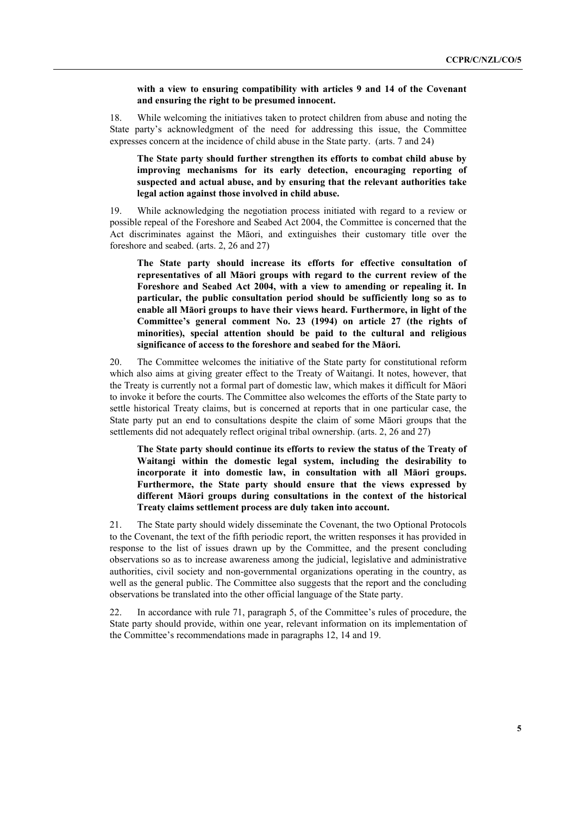#### **with a view to ensuring compatibility with articles 9 and 14 of the Covenant and ensuring the right to be presumed innocent.**

18. While welcoming the initiatives taken to protect children from abuse and noting the State party's acknowledgment of the need for addressing this issue, the Committee expresses concern at the incidence of child abuse in the State party. (arts. 7 and 24)

#### **The State party should further strengthen its efforts to combat child abuse by improving mechanisms for its early detection, encouraging reporting of suspected and actual abuse, and by ensuring that the relevant authorities take legal action against those involved in child abuse.**

19. While acknowledging the negotiation process initiated with regard to a review or possible repeal of the Foreshore and Seabed Act 2004, the Committee is concerned that the Act discriminates against the Māori, and extinguishes their customary title over the foreshore and seabed. (arts. 2, 26 and 27)

**The State party should increase its efforts for effective consultation of representatives of all Māori groups with regard to the current review of the Foreshore and Seabed Act 2004, with a view to amending or repealing it. In particular, the public consultation period should be sufficiently long so as to enable all Māori groups to have their views heard. Furthermore, in light of the Committee's general comment No. 23 (1994) on article 27 (the rights of minorities), special attention should be paid to the cultural and religious significance of access to the foreshore and seabed for the Māori.** 

20. The Committee welcomes the initiative of the State party for constitutional reform which also aims at giving greater effect to the Treaty of Waitangi. It notes, however, that the Treaty is currently not a formal part of domestic law, which makes it difficult for Māori to invoke it before the courts. The Committee also welcomes the efforts of the State party to settle historical Treaty claims, but is concerned at reports that in one particular case, the State party put an end to consultations despite the claim of some Māori groups that the settlements did not adequately reflect original tribal ownership. (arts. 2, 26 and 27)

**The State party should continue its efforts to review the status of the Treaty of Waitangi within the domestic legal system, including the desirability to incorporate it into domestic law, in consultation with all Māori groups. Furthermore, the State party should ensure that the views expressed by different Māori groups during consultations in the context of the historical Treaty claims settlement process are duly taken into account.** 

21. The State party should widely disseminate the Covenant, the two Optional Protocols to the Covenant, the text of the fifth periodic report, the written responses it has provided in response to the list of issues drawn up by the Committee, and the present concluding observations so as to increase awareness among the judicial, legislative and administrative authorities, civil society and non-governmental organizations operating in the country, as well as the general public. The Committee also suggests that the report and the concluding observations be translated into the other official language of the State party.

22. In accordance with rule 71, paragraph 5, of the Committee's rules of procedure, the State party should provide, within one year, relevant information on its implementation of the Committee's recommendations made in paragraphs 12, 14 and 19.